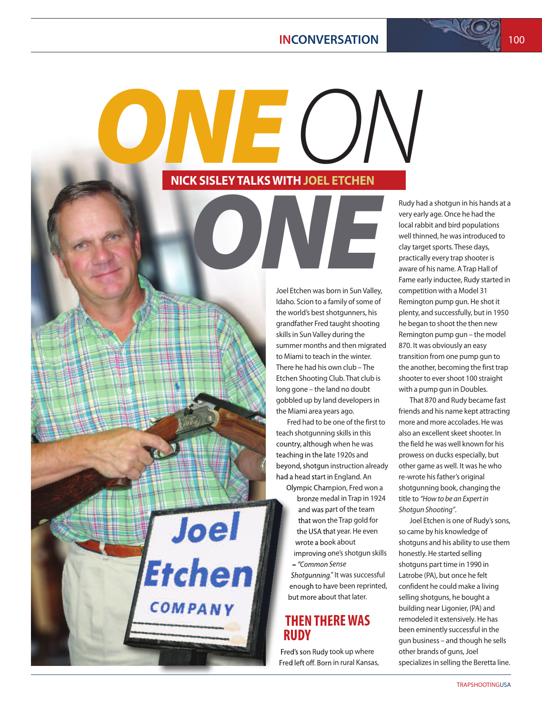#### **INCONVERSATION** 100

*ONE <u>ONE</u><br>PICK SISLEY TALKS WITH JOEL ETCHEN* **NICK SISLEYTALKSWITHJOEL ETCHEN**

> Rudy had a shotgun in his hands at a very early age. Once he had the local rabbit and bird populations well thinned, he was introduced to clay target sports. These days, practically every trap shooter is aware of his name. ATrap Hall of Fame early inductee, Rudy started in competition with a Model 31 Remington pump gun. He shot it plenty, and successfully, but in 1950 he began to shoot the then new Remington pump gun – the model 870. It was obviously an easy transition from one pump gun to the another, becoming the first trap shooter to ever shoot 100 straight with a pump gun in Doubles.

That 870 and Rudy became fast friends and his name kept attracting more and more accolades. He was also an excellent skeet shooter. In the field he was well known for his prowess on ducks especially, but other game as well. It was he who re-wrote his father's original shotgunning book, changing the title to *"How to be an Expertin Shotgun Shooting"*.

Joel Etchen is one of Rudy's sons, so came by his knowledge of shotguns and his ability to use them honestly. He started selling shotguns part time in 1990 in Latrobe (PA), but once he felt confident he could make a living selling shotguns, he bought a building near Ligonier, (PA) and remodeled it extensively. He has been eminently successful in the gun business – and though he sells other brands of guns, Joel specializes in selling the Beretta line.

the world's best shotgunners, his grandfather Fred taught shooting skills in Sun Valley during the summer months and then migrated to Miami to teach in the winter. There he had his own club – The Etchen Shooting Club. That club is long gone – the land no doubt gobbled up by land developersin the Miami area years ago. Fred had to be one of the first to

Joel Etchen was born in Sun Valley, Idaho. Scion to a family of some of

*ONE*

teach shotgunning skills in this country, although when he was teaching in the late 1920s and beyond, shotgun instruction already had a head start in England. An

Olympic Champion, Fred won a bronze medal in Trap in 1924 and was part of the team that won the Trap gold for the USA that year. He even wrote a book about improving one's shotgun skills

**Joel** 

Etchen

COMPANY

– *"Common Sense* Shotgunning." It was successful enough to have been reprinted, but more about that later.

#### **THEN THEREWAS RUDY**

Fred's son Rudy took up where Fred left off. Born in rural Kansas,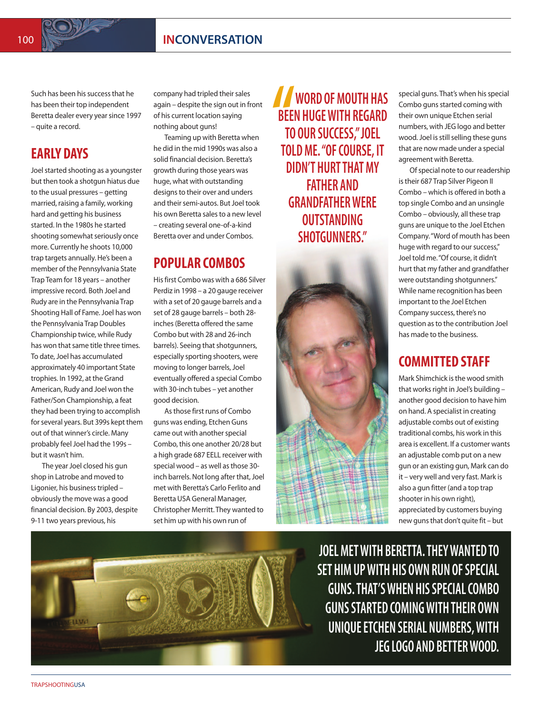Such has been his success that he has been their top independent Beretta dealer every year since 1997 – quite a record.

# **EARLY DAYS**

Joel started shooting as a youngster but then took a shotgun hiatus due to the usual pressures – getting married, raising a family, working hard and getting his business started. In the 1980s he started shooting somewhat seriously once more. Currently he shoots 10,000 trap targets annually. He's been a member of the Pennsylvania State TrapTeam for 18 years – another impressive record. Both Joel and Rudy are in the Pennsylvania Trap Shooting Hall of Fame.Joel has won the Pennsylvania Trap Doubles Championship twice, while Rudy has won that same title three times. To date, Joel has accumulated approximately 40 important State trophies. In 1992, at the Grand American, Rudy and Joel won the Father/Son Championship, a feat they had been trying to accomplish for several years. But 399s kept them out of that winner's circle. Many probably feel Joel had the 199s but it wasn't him.

The year Joel closed his gun shop in Latrobe and moved to Ligonier, his business tripled obviously the move was a good financial decision. By 2003, despite 9-11 two years previous, his

company had tripled their sales again – despite the sign out in front of his current location saying nothing about guns!

Teaming up with Beretta when he did in the mid 1990s was also a solid financial decision. Beretta's growth during those years was huge, what with outstanding designs to their over and unders and their semi-autos. But Joel took his own Beretta sales to a new level – creating several one-of-a-kind Beretta over and under Combos.

#### **POPULAR COMBOS**

Hisfirst Combo was with a 686 Silver Perdiz in 1998 – a 20 gauge receiver with a set of 20 gauge barrels and a set of 28 gauge barrels – both 28 inches (Beretta offered the same Combo but with 28 and 26-inch barrels). Seeing that shotgunners, especially sporting shooters, were moving to longer barrels, Joel eventually offered a special Combo with 30-inch tubes – yet another good decision.

Asthose first runs of Combo guns was ending, Etchen Guns came out with another special Combo, this one another 20/28 but a high grade 687 EELL receiver with special wood - as well as those 30inch barrels. Not long after that, Joel met with Beretta's Carlo Ferlito and Beretta USA General Manager, Christopher Merritt. They wanted to set him up with his own run of

**BEE**<br>TO<br>TOL **WORD OFMOUTH HAS BEEN HUGEWITH REGARD TO OUR SUCCESS,"JOEL TOLD ME. "OF COURSE, IT DIDN'T HURTTHATMY FATHER AND GRANDFATHERWERE OUTSTANDING SHOTGUNNERS."**



special guns. That's when his special Combo guns started coming with their own unique Etchen serial numbers, with JEG logo and better wood. Joel is still selling these guns that are now made under a special agreement with Beretta.

Of special note to our readership is their 687 Trap Silver Pigeon II Combo – which is offered in both a top single Combo and an unsingle Combo – obviously, all these trap guns are unique to the Joel Etchen Company."Word of mouth has been huge with regard to our success," Joel told me."Of course, it didn't hurt that my father and grandfather were outstanding shotgunners." While name recognition has been important to the Joel Etchen Company success, there's no question as to the contribution Joel has made to the business.

### **COMMITTED STAFF**

Mark Shimchick isthe wood smith that works right in Joel's building  $$ another good decision to have him on hand. A specialist in creating adjustable combs out of existing traditional combs, his work in this area is excellent. If a customer wants an adjustable comb put on a new gun or an existing gun, Mark can do it – very well and very fast. Mark is also a gun fitter (and a top trap shooter in his own right), appreciated by customers buying new gunsthat don't quite fit – but



**JOELMETWITH BERETTA.THEYWANTED TO SET HIMUPWITH HIS OWN RUN OFSPECIAL GUNS.THAT'SWHEN HISSPECIALCOMBO GUNSSTARTED COMINGWITHTHEIR OWN UNIQUEETCHEN SERIAL NUMBERS,WITH JEG LOGO AND BETTERWOOD.**